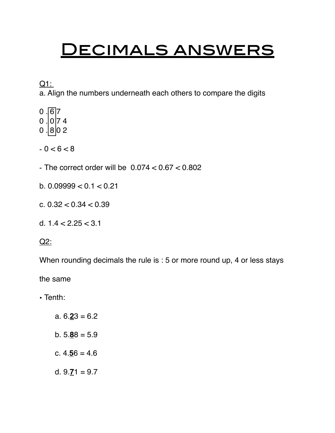## <u>DECIMALS ANSWERS</u>

Q1:

a. Align the numbers underneath each others to compare the digits

- $0.67$
- $0$  . 0 7 4
- $0.802$
- $-0 < 6 < 8$
- The correct order will be  $0.074 < 0.67 < 0.802$
- b. 0.09999 < 0.1 < 0.21
- c. 0.32 < 0.34 < 0.39
- d.  $1.4 < 2.25 < 3.1$

Q2:

When rounding decimals the rule is : 5 or more round up, 4 or less stays

the same

• Tenth:

- a. 6.**2**3 = 6.2
- b. 5.**8**8 = 5.9
- c. 4.**5**6 = 4.6
- d.  $9.71 = 9.7$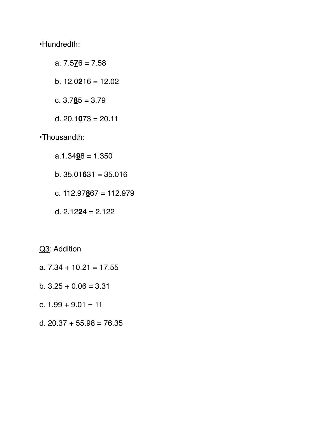•Hundredth:

- a. 7.5**7**6 = 7.58
- b. 12.0**2**16 = 12.02
- c. 3.7**8**5 = 3.79
- d. 20.1**0**73 = 20.11
- •Thousandth:
	- a.1.34**9**8 = 1.350
	- b. 35.01**6**31 = 35.016
	- c. 112.97**8**67 = 112.979
	- d. 2.12**2**4 = 2.122

Q<sub>3</sub>: Addition

- a.  $7.34 + 10.21 = 17.55$
- b.  $3.25 + 0.06 = 3.31$
- c.  $1.99 + 9.01 = 11$
- d.  $20.37 + 55.98 = 76.35$